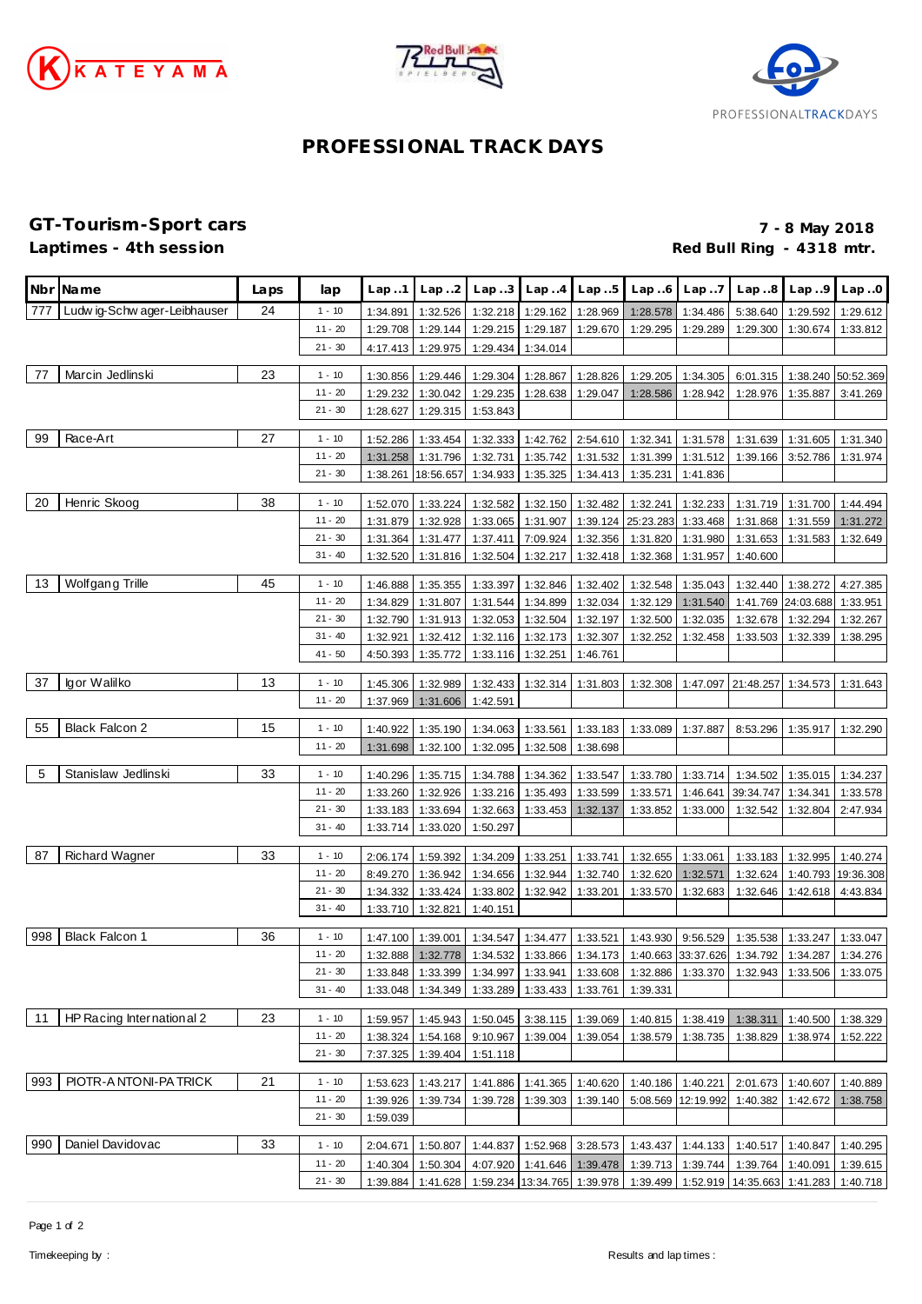





## **PROFESSIONAL TRACK DAYS**

**GT-Tourism-Sport cars 7 - 8 May 2018** Red Bull Ring - 4318 mtr.

|     | Nbr Name                     | Laps | lap                   | Lap.1                | Lap.2                | Lap.3                | Lap.4                                  | Lap.5                | Lap.6                | Lap.7                | Lap.8                                                                                                       | Lap.9                | Lap.0                |
|-----|------------------------------|------|-----------------------|----------------------|----------------------|----------------------|----------------------------------------|----------------------|----------------------|----------------------|-------------------------------------------------------------------------------------------------------------|----------------------|----------------------|
| 777 | Ludw ig-Schw ager-Leibhauser | 24   | $1 - 10$              | 1:34.891             | 1:32.526             | 1:32.218             | 1:29.162                               | 1:28.969             | 1:28.578             | 1:34.486             | 5:38.640                                                                                                    | 1:29.592             | 1:29.612             |
|     |                              |      | $11 - 20$             | 1:29.708             | 1:29.144             | 1:29.215             | 1:29.187                               | 1:29.670             | 1:29.295             | 1:29.289             | 1:29.300                                                                                                    | 1:30.674             | 1:33.812             |
|     |                              |      | $21 - 30$             | 4:17.413             | 1:29.975             | 1:29.434             | 1:34.014                               |                      |                      |                      |                                                                                                             |                      |                      |
| 77  | Marcin Jedlinski             | 23   | $1 - 10$              | 1:30.856             | 1:29.446             | 1:29.304             | 1:28.867                               | 1:28.826             | 1:29.205             | 1:34.305             | 6:01.315                                                                                                    |                      | 1:38.240 50:52.369   |
|     |                              |      | $11 - 20$             | 1:29.232             | 1:30.042             | 1:29.235             | 1:28.638                               | 1:29.047             | 1:28.586             | 1:28.942             | 1:28.976                                                                                                    | 1:35.887             | 3:41.269             |
|     |                              |      | $21 - 30$             | 1:28.627             | 1:29.315             | 1:53.843             |                                        |                      |                      |                      |                                                                                                             |                      |                      |
|     |                              |      |                       |                      |                      |                      |                                        |                      |                      |                      |                                                                                                             |                      |                      |
| 99  | Race-Art                     | 27   | $1 - 10$              | 1:52.286             | 1:33.454             | 1:32.333             | 1:42.762                               | 2:54.610             | 1:32.341             | 1:31.578             | 1:31.639                                                                                                    | 1:31.605             | 1:31.340             |
|     |                              |      | $11 - 20$             | 1:31.258             | 1:31.796             | 1:32.731             | 1:35.742                               | 1:31.532             | 1:31.399             | 1:31.512             | 1:39.166                                                                                                    | 3:52.786             | 1:31.974             |
|     |                              |      | $21 - 30$             | 1:38.261             | 18:56.657            | 1:34.933             | 1:35.325                               | 1:34.413             | 1:35.231             | 1:41.836             |                                                                                                             |                      |                      |
| 20  | Henric Skoog                 | 38   | $1 - 10$              | 1:52.070             | 1:33.224             | 1:32.582             | 1:32.150                               | 1:32.482             | 1:32.241             | 1:32.233             | 1:31.719                                                                                                    | 1:31.700             | 1:44.494             |
|     |                              |      | $11 - 20$             | 1:31.879             | 1:32.928             | 1:33.065             | 1:31.907                               | 1:39.124             | 25:23.283            | 1:33.468             | 1:31.868                                                                                                    | 1:31.559             | 1:31.272             |
|     |                              |      | $21 - 30$             | 1:31.364             | 1:31.477             | 1:37.411             | 7:09.924                               | 1:32.356             | 1:31.820             | 1:31.980             | 1:31.653                                                                                                    | 1:31.583             | 1:32.649             |
|     |                              |      | $31 - 40$             | 1:32.520             | 1:31.816             | 1:32.504             | 1:32.217                               | 1:32.418             | 1:32.368             | 1:31.957             | 1:40.600                                                                                                    |                      |                      |
| 13  | Wolfgang Trille              | 45   | $1 - 10$              | 1:46.888             | 1:35.355             | 1:33.397             | 1:32.846                               | 1:32.402             | 1:32.548             | 1:35.043             | 1:32.440                                                                                                    | 1:38.272             | 4:27.385             |
|     |                              |      | $11 - 20$             | 1:34.829             | 1:31.807             | 1:31.544             | 1:34.899                               | 1:32.034             | 1:32.129             | 1:31.540             |                                                                                                             | 1:41.769 24:03.688   | 1:33.951             |
|     |                              |      | $21 - 30$             | 1:32.790             | 1:31.913             | 1:32.053             | 1:32.504                               | 1:32.197             | 1:32.500             | 1:32.035             | 1:32.678                                                                                                    | 1:32.294             | 1:32.267             |
|     |                              |      | $31 - 40$             | 1:32.921             | 1:32.412             | 1:32.116             | 1:32.173                               | 1:32.307             | 1:32.252             | 1:32.458             | 1:33.503                                                                                                    | 1:32.339             | 1:38.295             |
|     |                              |      | $41 - 50$             | 4:50.393             | 1:35.772             | 1:33.116             | 1:32.251                               | 1:46.761             |                      |                      |                                                                                                             |                      |                      |
|     |                              |      |                       |                      |                      |                      |                                        |                      |                      |                      |                                                                                                             |                      |                      |
| 37  | Igor Walilko                 | 13   | $1 - 10$              | 1:45.306             | 1:32.989             | 1:32.433             | 1:32.314                               | 1:31.803             | 1:32.308             |                      | 1:47.097 21:48.257                                                                                          | 1:34.573             | 1:31.643             |
|     |                              |      | $11 - 20$             | 1:37.969             | 1:31.606             | 1:42.591             |                                        |                      |                      |                      |                                                                                                             |                      |                      |
| 55  | <b>Black Falcon 2</b>        | 15   | $1 - 10$              | 1:40.922             | 1:35.190             | 1:34.063             | 1:33.561                               | 1:33.183             | 1:33.089             | 1:37.887             | 8:53.296                                                                                                    | 1:35.917             | 1:32.290             |
|     |                              |      | $11 - 20$             | 1:31.698             | 1:32.100             | 1:32.095             | 1:32.508                               | 1:38.698             |                      |                      |                                                                                                             |                      |                      |
| 5   | Stanislaw Jedlinski          | 33   |                       |                      |                      |                      |                                        |                      |                      |                      |                                                                                                             |                      |                      |
|     |                              |      | $1 - 10$<br>$11 - 20$ | 1:40.296<br>1:33.260 | 1:35.715<br>1:32.926 | 1:34.788<br>1:33.216 | 1:34.362<br>1:35.493                   | 1:33.547<br>1:33.599 | 1:33.780             | 1:33.714             | 1:34.502<br>39:34.747                                                                                       | 1:35.015             | 1:34.237             |
|     |                              |      | $21 - 30$             | 1:33.183             | 1:33.694             | 1:32.663             | 1:33.453                               | 1:32.137             | 1:33.571<br>1:33.852 | 1:46.641<br>1:33.000 | 1:32.542                                                                                                    | 1:34.341<br>1:32.804 | 1:33.578<br>2:47.934 |
|     |                              |      | $31 - 40$             | 1:33.714             | 1:33.020             | 1:50.297             |                                        |                      |                      |                      |                                                                                                             |                      |                      |
|     |                              |      |                       |                      |                      |                      |                                        |                      |                      |                      |                                                                                                             |                      |                      |
| 87  | <b>Richard Wagner</b>        | 33   | $1 - 10$              | 2:06.174             | 1:59.392             | 1:34.209             | 1:33.251                               | 1:33.741             | 1:32.655             | 1:33.061             | 1:33.183                                                                                                    | 1:32.995             | 1:40.274             |
|     |                              |      | $11 - 20$             | 8:49.270             | 1:36.942             | 1:34.656             | 1:32.944                               | 1:32.740             | 1:32.620             | 1:32.571             | 1:32.624                                                                                                    | 1:40.793             | 19:36.308            |
|     |                              |      | $21 - 30$             | 1:34.332             | 1:33.424             | 1:33.802             | 1:32.942                               | 1:33.201             | 1:33.570             | 1:32.683             | 1:32.646                                                                                                    | 1:42.618             | 4:43.834             |
|     |                              |      | $31 - 40$             | 1:33.710             | 1:32.821             | 1:40.151             |                                        |                      |                      |                      |                                                                                                             |                      |                      |
| 998 | <b>Black Falcon 1</b>        | 36   | $1 - 10$              | 1:47.100             | 1:39.001             | 1:34.547             | 1:34.477                               | 1:33.521             | 1:43.930             | 9:56.529             | 1:35.538                                                                                                    | 1:33.247             | 1:33.047             |
|     |                              |      | $11 - 20$             | 1:32.888             | 1:32.778             | 1:34.532             | 1:33.866                               | 1:34.173             |                      | 1:40.663 33:37.626   | 1:34.792                                                                                                    | 1:34.287             | 1:34.276             |
|     |                              |      | $21 - 30$             |                      |                      |                      |                                        |                      |                      |                      | 1:33.848   1:33.399   1:34.997   1:33.941   1:33.608   1:32.886   1:33.370   1:32.943   1:33.506   1:33.075 |                      |                      |
|     |                              |      | $31 - 40$             | 1:33.048             | 1:34.349             | 1:33.289             | 1:33.433                               | 1:33.761             | 1:39.331             |                      |                                                                                                             |                      |                      |
| 11  | HP Racing International 2    | 23   | $1 - 10$              |                      |                      |                      |                                        |                      |                      |                      |                                                                                                             |                      |                      |
|     |                              |      | $11 - 20$             | 1:59.957<br>1:38.324 | 1:45.943<br>1:54.168 | 9:10.967             | 1:50.045 3:38.115 1:39.069<br>1:39.004 | 1:39.054             | 1:40.815<br>1:38.579 | 1:38.419<br>1:38.735 | 1:38.311<br>1:38.829                                                                                        | 1:40.500<br>1:38.974 | 1:38.329<br>1:52.222 |
|     |                              |      | $21 - 30$             | 7:37.325             | 1:39.404             | 1:51.118             |                                        |                      |                      |                      |                                                                                                             |                      |                      |
|     |                              |      |                       |                      |                      |                      |                                        |                      |                      |                      |                                                                                                             |                      |                      |
| 993 | PIOTR-A NTONI-PA TRICK       | 21   | $1 - 10$              | 1:53.623             | 1:43.217             | 1:41.886             | 1:41.365                               | 1:40.620             | 1:40.186             | 1:40.221             | 2:01.673                                                                                                    | 1:40.607             | 1:40.889             |
|     |                              |      | $11 - 20$             | 1:39.926             | 1:39.734             | 1:39.728             |                                        | 1:39.303 1:39.140    |                      | 5:08.569 12:19.992   | 1:40.382                                                                                                    | 1:42.672 1:38.758    |                      |
|     |                              |      | $21 - 30$             | 1:59.039             |                      |                      |                                        |                      |                      |                      |                                                                                                             |                      |                      |
| 990 | Daniel Davidovac             | 33   | $1 - 10$              | 2:04.671             | 1:50.807             | 1:44.837             | 1:52.968                               | 3:28.573             |                      | 1:43.437 1:44.133    | 1:40.517                                                                                                    | 1:40.847             | 1:40.295             |
|     |                              |      | $11 - 20$             | 1:40.304             | 1:50.304             | 4:07.920             | 1:41.646 1:39.478                      |                      |                      | 1:39.713 1:39.744    | 1:39.764 1:40.091                                                                                           |                      | 1:39.615             |
|     |                              |      | $21 - 30$             | 1:39.884             | 1:41.628             |                      | 1:59.234 13:34.765 1:39.978            |                      | 1:39.499             |                      | 1:52.919 14:35.663 1:41.283                                                                                 |                      | 1:40.718             |